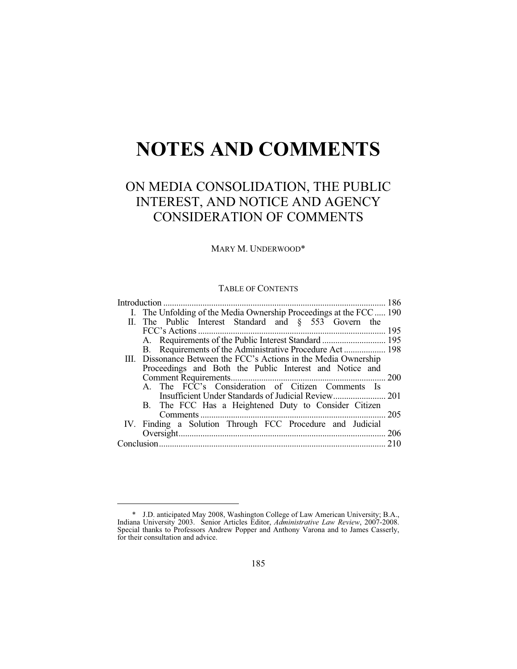# **NOTES AND COMMENTS**

# ON MEDIA CONSOLIDATION, THE PUBLIC INTEREST, AND NOTICE AND AGENCY CONSIDERATION OF COMMENTS

MARY M. UNDERWOOD\*

# TABLE OF CONTENTS

| I. The Unfolding of the Media Ownership Proceedings at the FCC  190 |      |
|---------------------------------------------------------------------|------|
| II. The Public Interest Standard and § 553 Govern the               |      |
|                                                                     |      |
|                                                                     |      |
|                                                                     |      |
| III. Dissonance Between the FCC's Actions in the Media Ownership    |      |
| Proceedings and Both the Public Interest and Notice and             |      |
|                                                                     |      |
| A. The FCC's Consideration of Citizen Comments Is                   |      |
|                                                                     |      |
| B. The FCC Has a Heightened Duty to Consider Citizen                |      |
|                                                                     | .205 |
| IV. Finding a Solution Through FCC Procedure and Judicial           |      |
|                                                                     |      |
|                                                                     | 210  |
|                                                                     |      |

 <sup>\*</sup> J.D. anticipated May 2008, Washington College of Law American University; B.A., Indiana University 2003. Senior Articles Editor, *Administrative Law Review*, 2007-2008. Special thanks to Professors Andrew Popper and Anthony Varona and to James Casserly, for their consultation and advice.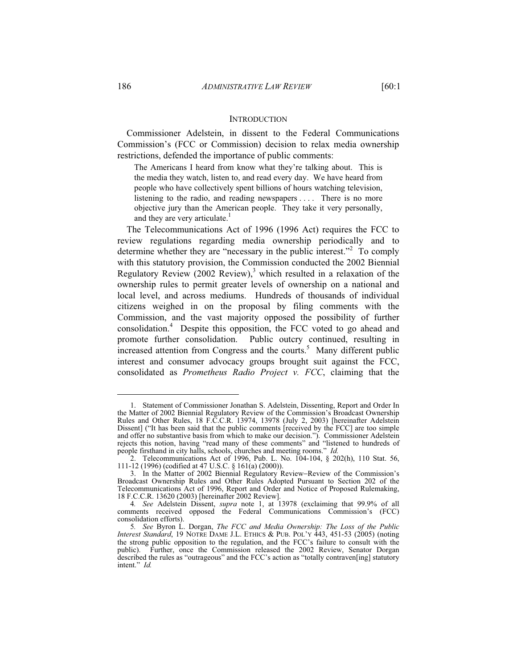#### **INTRODUCTION**

Commissioner Adelstein, in dissent to the Federal Communications Commission's (FCC or Commission) decision to relax media ownership restrictions, defended the importance of public comments:

The Americans I heard from know what they're talking about. This is the media they watch, listen to, and read every day. We have heard from people who have collectively spent billions of hours watching television, listening to the radio, and reading newspapers .... There is no more objective jury than the American people. They take it very personally, and they are very articulate.<sup>1</sup>

The Telecommunications Act of 1996 (1996 Act) requires the FCC to review regulations regarding media ownership periodically and to determine whether they are "necessary in the public interest."<sup>2</sup> To comply with this statutory provision, the Commission conducted the 2002 Biennial Regulatory Review  $(2002 \text{ Review})$ ,<sup>3</sup> which resulted in a relaxation of the ownership rules to permit greater levels of ownership on a national and local level, and across mediums. Hundreds of thousands of individual citizens weighed in on the proposal by filing comments with the Commission, and the vast majority opposed the possibility of further consolidation.<sup>4</sup> Despite this opposition, the FCC voted to go ahead and promote further consolidation. Public outcry continued, resulting in increased attention from Congress and the courts.<sup>5</sup> Many different public interest and consumer advocacy groups brought suit against the FCC, consolidated as *Prometheus Radio Project v. FCC*, claiming that the

 <sup>1.</sup> Statement of Commissioner Jonathan S. Adelstein, Dissenting, Report and Order In the Matter of 2002 Biennial Regulatory Review of the Commission's Broadcast Ownership Rules and Other Rules, 18 F.C.C.R. 13974, 13978 (July 2, 2003) [hereinafter Adelstein Dissent] ("It has been said that the public comments [received by the FCC] are too simple and offer no substantive basis from which to make our decision."). Commissioner Adelstein rejects this notion, having "read many of these comments" and "listened to hundreds of people firsthand in city halls, schools, churches and meeting rooms." *Id.*

 <sup>2.</sup> Telecommunications Act of 1996, Pub. L. No. 104-104, § 202(h), 110 Stat. 56, 111-12 (1996) (codified at 47 U.S.C. § 161(a) (2000)).

 <sup>3.</sup> In the Matter of 2002 Biennial Regulatory Review−Review of the Commission's Broadcast Ownership Rules and Other Rules Adopted Pursuant to Section 202 of the Telecommunications Act of 1996, Report and Order and Notice of Proposed Rulemaking, 18 F.C.C.R. 13620 (2003) [hereinafter 2002 Review].

<sup>4</sup>*. See* Adelstein Dissent, *supra* note 1, at 13978 (exclaiming that 99.9% of all comments received opposed the Federal Communications Commission's (FCC) consolidation efforts).

<sup>5</sup>*. See* Byron L. Dorgan, *The FCC and Media Ownership: The Loss of the Public Interest Standard*, 19 NOTRE DAME J.L. ETHICS & PUB. POL'Y 443, 451-53 (2005) (noting the strong public opposition to the regulation, and the FCC's failure to consult with the public). Further, once the Commission released the 2002 Review, Senator Dorgan described the rules as "outrageous" and the FCC's action as "totally contraven[ing] statutory intent." *Id.*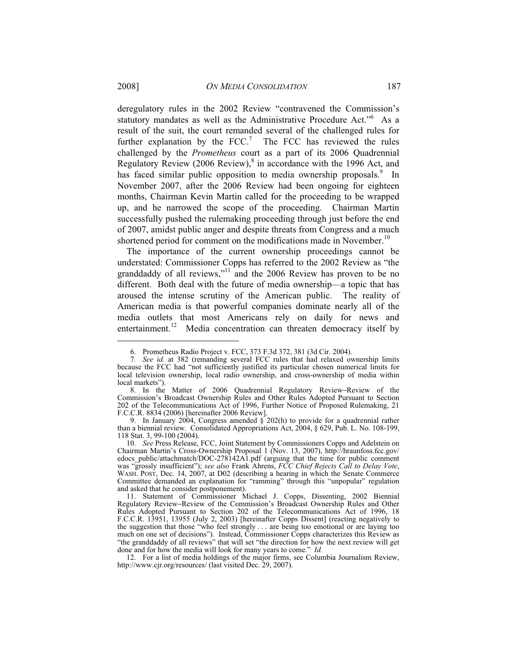deregulatory rules in the 2002 Review "contravened the Commission's statutory mandates as well as the Administrative Procedure Act."<sup>6</sup> As a result of the suit, the court remanded several of the challenged rules for further explanation by the  $FCC$ .<sup>7</sup> The FCC has reviewed the rules challenged by the *Prometheus* court as a part of its 2006 Quadrennial Regulatory Review  $(2006 \text{ Review})$ ,  $\text{sin}$  accordance with the 1996 Act, and has faced similar public opposition to media ownership proposals.<sup>9</sup> In November 2007, after the 2006 Review had been ongoing for eighteen months, Chairman Kevin Martin called for the proceeding to be wrapped up, and he narrowed the scope of the proceeding. Chairman Martin successfully pushed the rulemaking proceeding through just before the end of 2007, amidst public anger and despite threats from Congress and a much shortened period for comment on the modifications made in November.<sup>10</sup>

The importance of the current ownership proceedings cannot be understated: Commissioner Copps has referred to the 2002 Review as "the granddaddy of all reviews,"<sup>11</sup> and the 2006 Review has proven to be no different. Both deal with the future of media ownership—a topic that has aroused the intense scrutiny of the American public. The reality of American media is that powerful companies dominate nearly all of the media outlets that most Americans rely on daily for news and entertainment.<sup>12</sup> Media concentration can threaten democracy itself by

 <sup>6.</sup> Prometheus Radio Project v. FCC, 373 F.3d 372, 381 (3d Cir. 2004).

<sup>7</sup>*. See id.* at 382 (remanding several FCC rules that had relaxed ownership limits because the FCC had "not sufficiently justified its particular chosen numerical limits for local television ownership, local radio ownership, and cross-ownership of media within local markets").

 <sup>8.</sup> In the Matter of 2006 Quadrennial Regulatory Review−Review of the Commission's Broadcast Ownership Rules and Other Rules Adopted Pursuant to Section 202 of the Telecommunications Act of 1996, Further Notice of Proposed Rulemaking, 21 F.C.C.R. 8834 (2006) [hereinafter 2006 Review].

 <sup>9.</sup> In January 2004, Congress amended § 202(h) to provide for a quadrennial rather than a biennial review. Consolidated Appropriations Act, 2004, § 629, Pub. L. No. 108-199, 118 Stat. 3, 99-100 (2004).

 <sup>10.</sup> *See* Press Release, FCC, Joint Statement by Commissioners Copps and Adelstein on Chairman Martin's Cross-Ownership Proposal 1 (Nov. 13, 2007), http://hraunfoss.fcc.gov/ edocs\_public/attachmatch/DOC-278142A1.pdf (arguing that the time for public comment was "grossly insufficient"); *see also* Frank Ahrens, *FCC Chief Rejects Call to Delay Vote*, WASH. POST, Dec. 14, 2007, at D02 (describing a hearing in which the Senate Commerce Committee demanded an explanation for "ramming" through this "unpopular" regulation and asked that he consider postponement).

 <sup>11.</sup> Statement of Commissioner Michael J. Copps, Dissenting, 2002 Biennial Regulatory Review−Review of the Commission's Broadcast Ownership Rules and Other Rules Adopted Pursuant to Section 202 of the Telecommunications Act of 1996, 18 F.C.C.R. 13951, 13955 (July 2, 2003) [hereinafter Copps Dissent] (reacting negatively to the suggestion that those "who feel strongly . . . are being too emotional or are laying too much on one set of decisions"). Instead, Commissioner Copps characterizes this Review as "the granddaddy of all reviews" that will set "the direction for how the next review will get done and for how the media will look for many years to come." *Id.*

 <sup>12.</sup> For a list of media holdings of the major firms, see Columbia Journalism Review, http://www.cjr.org/resources/ (last visited Dec. 29, 2007).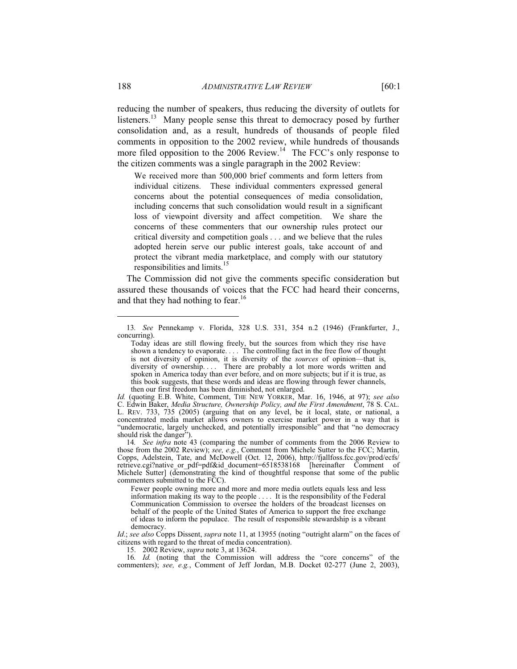reducing the number of speakers, thus reducing the diversity of outlets for listeners.<sup>13</sup> Many people sense this threat to democracy posed by further consolidation and, as a result, hundreds of thousands of people filed comments in opposition to the 2002 review, while hundreds of thousands more filed opposition to the 2006 Review.<sup>14</sup> The FCC's only response to the citizen comments was a single paragraph in the 2002 Review:

We received more than 500,000 brief comments and form letters from individual citizens. These individual commenters expressed general concerns about the potential consequences of media consolidation, including concerns that such consolidation would result in a significant loss of viewpoint diversity and affect competition. We share the concerns of these commenters that our ownership rules protect our critical diversity and competition goals . . . and we believe that the rules adopted herein serve our public interest goals, take account of and protect the vibrant media marketplace, and comply with our statutory responsibilities and limits.<sup>15</sup>

The Commission did not give the comments specific consideration but assured these thousands of voices that the FCC had heard their concerns, and that they had nothing to fear.<sup>16</sup>

15. 2002 Review, *supra* note 3, at 13624.

<sup>13</sup>*. See* Pennekamp v. Florida, 328 U.S. 331, 354 n.2 (1946) (Frankfurter, J., concurring).

Today ideas are still flowing freely, but the sources from which they rise have shown a tendency to evaporate. . . . The controlling fact in the free flow of thought is not diversity of opinion, it is diversity of the *sources* of opinion—that is, diversity of ownership.... There are probably a lot more words written and spoken in America today than ever before, and on more subjects; but if it is true, as this book suggests, that these words and ideas are flowing through fewer channels, then our first freedom has been diminished, not enlarged.

*Id.* (quoting E.B. White, Comment, THE NEW YORKER, Mar. 16, 1946, at 97); *see also*  C. Edwin Baker, *Media Structure, Ownership Policy, and the First Amendment*, 78 S. CAL. L. REV. 733, 735 (2005) (arguing that on any level, be it local, state, or national, a concentrated media market allows owners to exercise market power in a way that is "undemocratic, largely unchecked, and potentially irresponsible" and that "no democracy should risk the danger".

<sup>14</sup>*. See infra* note 43 (comparing the number of comments from the 2006 Review to those from the 2002 Review); *see, e.g.*, Comment from Michele Sutter to the FCC; Martin, Copps, Adelstein, Tate, and McDowell (Oct. 12, 2006), http://fjallfoss.fcc.gov/prod/ecfs/ retrieve.cgi?native\_or\_pdf=pdf&id\_document=6518538168 [hereinafter Comment of Michele Sutter] (demonstrating the kind of thoughtful response that some of the public commenters submitted to the FCC).

Fewer people owning more and more and more media outlets equals less and less information making its way to the people . . . . It is the responsibility of the Federal Communication Commission to oversee the holders of the broadcast licenses on behalf of the people of the United States of America to support the free exchange of ideas to inform the populace. The result of responsible stewardship is a vibrant democracy.

*Id*.; *see also* Copps Dissent, *supra* note 11, at 13955 (noting "outright alarm" on the faces of citizens with regard to the threat of media concentration).

<sup>16</sup>*. Id.* (noting that the Commission will address the "core concerns" of the commenters); *see, e.g.*, Comment of Jeff Jordan, M.B. Docket 02-277 (June 2, 2003),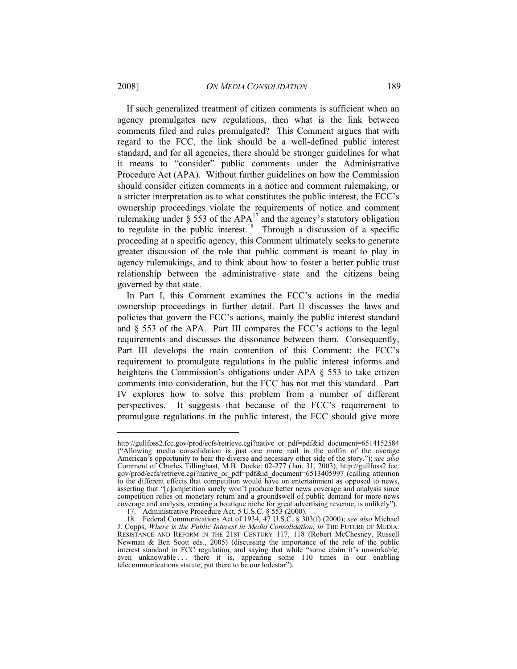If such generalized treatment of citizen comments is sufficient when an agency promulgates new regulations, then what is the link between comments filed and rules promulgated? This Comment argues that with regard to the FCC, the link should be a well-defined public interest standard, and for all agencies, there should be stronger guidelines for what it means to "consider" public comments under the Administrative Procedure Act (APA). Without further guidelines on how the Commission should consider citizen comments in a notice and comment rulemaking, or a stricter interpretation as to what constitutes the public interest, the FCC's ownership proceedings violate the requirements of notice and comment rulemaking under § 553 of the  $APA<sup>17</sup>$  and the agency's statutory obligation to regulate in the public interest.<sup>18</sup> Through a discussion of a specific proceeding at a specific agency, this Comment ultimately seeks to generate greater discussion of the role that public comment is meant to play in agency rulemakings, and to think about how to foster a better public trust relationship between the administrative state and the citizens being governed by that state.

In Part I, this Comment examines the FCC's actions in the media ownership proceedings in further detail. Part II discusses the laws and policies that govern the FCC's actions, mainly the public interest standard and § 553 of the APA. Part III compares the FCC's actions to the legal requirements and discusses the dissonance between them. Consequently, Part III develops the main contention of this Comment: the FCC's requirement to promulgate regulations in the public interest informs and heightens the Commission's obligations under APA § 553 to take citizen comments into consideration, but the FCC has not met this standard. Part IV explores how to solve this problem from a number of different perspectives. It suggests that because of the FCC's requirement to promulgate regulations in the public interest, the FCC should give more

http://gullfoss2.fcc.gov/prod/ecfs/retrieve.cgi?native\_or\_pdf=pdf&id\_document=6514152584 ("Allowing media consolidation is just one more nail in the coffin of the average American's opportunity to hear the diverse and necessary other side of the story."); *see also*  Comment of Charles Tillinghast, M.B. Docket 02-277 (Jan. 31, 2003), http://gullfoss2.fcc. gov/prod/ecfs/retrieve.cgi?native\_or\_pdf=pdf&id\_document=6513405997 (calling attention to the different effects that competition would have on entertainment as opposed to news, asserting that "[c]ompetition surely won't produce better news coverage and analysis since competition relies on monetary return and a groundswell of public demand for more news coverage and analysis, creating a boutique niche for great advertising revenue, is unlikely").

<sup>17.</sup> Administrative Procedure Act, 5 U.S.C. § 553 (2000).

 <sup>18.</sup> Federal Communications Act of 1934, 47 U.S.C. § 303(f) (2000); *see also* Michael J. Copps, *Where is the Public Interest in Media Consolidation*, *in* THE FUTURE OF MEDIA: RESISTANCE AND REFORM IN THE 21ST CENTURY 117, 118 (Robert McChesney, Russell Newman & Ben Scott eds., 2005) (discussing the importance of the role of the public interest standard in FCC regulation, and saying that while "some claim it's unworkable, even unknowable ... there it is, appearing some 110 times in our enabling telecommunications statute, put there to be our lodestar").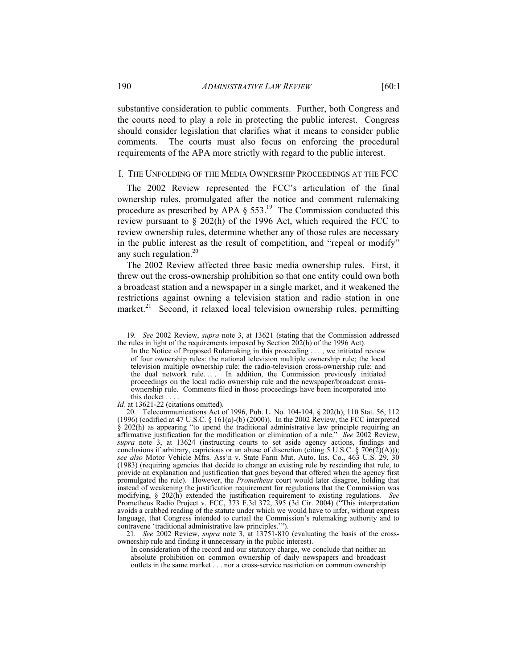substantive consideration to public comments. Further, both Congress and the courts need to play a role in protecting the public interest. Congress should consider legislation that clarifies what it means to consider public comments. The courts must also focus on enforcing the procedural

#### I. THE UNFOLDING OF THE MEDIA OWNERSHIP PROCEEDINGS AT THE FCC

requirements of the APA more strictly with regard to the public interest.

The 2002 Review represented the FCC's articulation of the final ownership rules, promulgated after the notice and comment rulemaking procedure as prescribed by APA  $\S$  553.<sup>19</sup> The Commission conducted this review pursuant to § 202(h) of the 1996 Act, which required the FCC to review ownership rules, determine whether any of those rules are necessary in the public interest as the result of competition, and "repeal or modify" any such regulation.<sup>20</sup>

The 2002 Review affected three basic media ownership rules. First, it threw out the cross-ownership prohibition so that one entity could own both a broadcast station and a newspaper in a single market, and it weakened the restrictions against owning a television station and radio station in one market.<sup>21</sup> Second, it relaxed local television ownership rules, permitting

21*. See* 2002 Review, *supra* note 3, at 13751-810 (evaluating the basis of the crossownership rule and finding it unnecessary in the public interest).

In consideration of the record and our statutory charge, we conclude that neither an absolute prohibition on common ownership of daily newspapers and broadcast outlets in the same market . . . nor a cross-service restriction on common ownership

<sup>19</sup>*. See* 2002 Review, *supra* note 3, at 13621 (stating that the Commission addressed the rules in light of the requirements imposed by Section  $202(h)$  of the 1996 Act).

In the Notice of Proposed Rulemaking in this proceeding . . . , we initiated review of four ownership rules: the national television multiple ownership rule; the local television multiple ownership rule; the radio-television cross-ownership rule; and the dual network rule. . . . In addition, the Commission previously initiated proceedings on the local radio ownership rule and the newspaper/broadcast crossownership rule. Comments filed in those proceedings have been incorporated into this docket . . . .

*Id.* at 13621-22 (citations omitted).

 <sup>20.</sup> Telecommunications Act of 1996, Pub. L. No. 104-104, § 202(h), 110 Stat. 56, 112  $(1996)$  (codified at 47 U.S.C. § 161(a)-(b) (2000)). In the 2002 Review, the FCC interpreted § 202(h) as appearing "to upend the traditional administrative law principle requiring an affirmative justification for the modification or elimination of a rule." *See* 2002 Review, supra note 3, at 13624 (instructing courts to set aside agency actions, findings and conclusions if arbitrary, capricious or an abuse of discretion (citing 5 U.S.C. § 706(2)(A))); *see also* Motor Vehicle Mfrs. Ass'n v. State Farm Mut. Auto. Ins. Co., 463 U.S. 29, 30 (1983) (requiring agencies that decide to change an existing rule by rescinding that rule, to provide an explanation and justification that goes beyond that offered when the agency first promulgated the rule). However, the *Prometheus* court would later disagree, holding that instead of weakening the justification requirement for regulations that the Commission was modifying, § 202(h) extended the justification requirement to existing regulations. *See*  Prometheus Radio Project v. FCC, 373 F.3d 372, 395 (3d Cir. 2004) ("This interpretation avoids a crabbed reading of the statute under which we would have to infer, without express language, that Congress intended to curtail the Commission's rulemaking authority and to contravene 'traditional administrative law principles.'").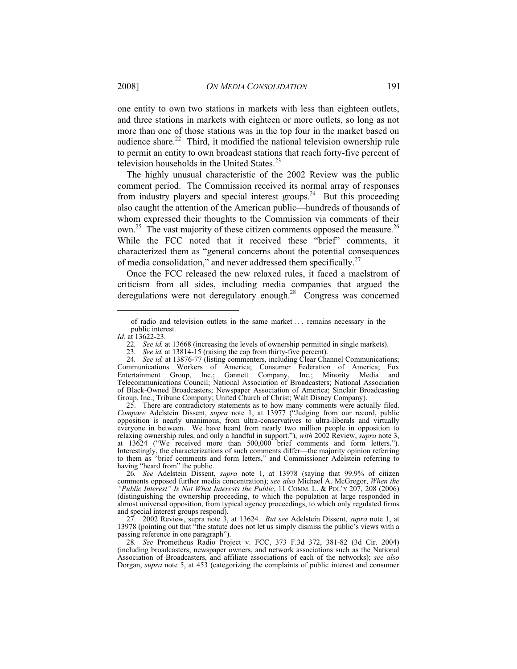one entity to own two stations in markets with less than eighteen outlets, and three stations in markets with eighteen or more outlets, so long as not more than one of those stations was in the top four in the market based on audience share. $22$  Third, it modified the national television ownership rule to permit an entity to own broadcast stations that reach forty-five percent of television households in the United States.<sup>23</sup>

The highly unusual characteristic of the 2002 Review was the public comment period. The Commission received its normal array of responses from industry players and special interest groups.<sup>24</sup> But this proceeding also caught the attention of the American public—hundreds of thousands of whom expressed their thoughts to the Commission via comments of their own.<sup>25</sup> The vast majority of these citizen comments opposed the measure.<sup>26</sup> While the FCC noted that it received these "brief" comments, it characterized them as "general concerns about the potential consequences of media consolidation," and never addressed them specifically. $27$ 

Once the FCC released the new relaxed rules, it faced a maelstrom of criticism from all sides, including media companies that argued the deregulations were not deregulatory enough.<sup>28</sup> Congress was concerned

of radio and television outlets in the same market . . . remains necessary in the public interest.

*Id.* at 13622-23.

<sup>22.</sup> See id. at 13668 (increasing the levels of ownership permitted in single markets).<br>23. See id. at 13814-15 (raising the cap from thirty-five percent).

See id. at 13814-15 (raising the cap from thirty-five percent).

<sup>24.</sup> See id. at 13876-77 (listing commenters, including Clear Channel Communications; Communications Workers of America; Consumer Federation of America; Fox Entertainment Group, Inc.; Gannett Company, Inc.; Minority Media and Telecommunications Council; National Association of Broadcasters; National Association of Black-Owned Broadcasters; Newspaper Association of America; Sinclair Broadcasting Group, Inc.; Tribune Company; United Church of Christ; Walt Disney Company).

 <sup>25.</sup> There are contradictory statements as to how many comments were actually filed. *Compare* Adelstein Dissent, *supra* note 1, at 13977 ("Judging from our record, public opposition is nearly unanimous, from ultra-conservatives to ultra-liberals and virtually everyone in between. We have heard from nearly two million people in opposition to relaxing ownership rules, and only a handful in support."), *with* 2002 Review, *supra* note 3, at 13624 ("We received more than 500,000 brief comments and form letters."). Interestingly, the characterizations of such comments differ—the majority opinion referring to them as "brief comments and form letters," and Commissioner Adelstein referring to having "heard from" the public.

<sup>26</sup>*. See* Adelstein Dissent, *supra* note 1, at 13978 (saying that 99.9% of citizen comments opposed further media concentration); *see also* Michael A. McGregor, *When the "Public Interest" Is Not What Interests the Public*, 11 COMM. L. & POL'Y 207, 208 (2006) (distinguishing the ownership proceeding, to which the population at large responded in almost universal opposition, from typical agency proceedings, to which only regulated firms and special interest groups respond).

 <sup>27. 2002</sup> Review, supra note 3, at 13624. *But see* Adelstein Dissent, *supra* note 1, at 13978 (pointing out that "the statute does not let us simply dismiss the public's views with a passing reference in one paragraph").

<sup>28</sup>*. See* Prometheus Radio Project v. FCC, 373 F.3d 372, 381-82 (3d Cir. 2004) (including broadcasters, newspaper owners, and network associations such as the National Association of Broadcasters, and affiliate associations of each of the networks); *see also*  Dorgan, *supra* note 5, at 453 (categorizing the complaints of public interest and consumer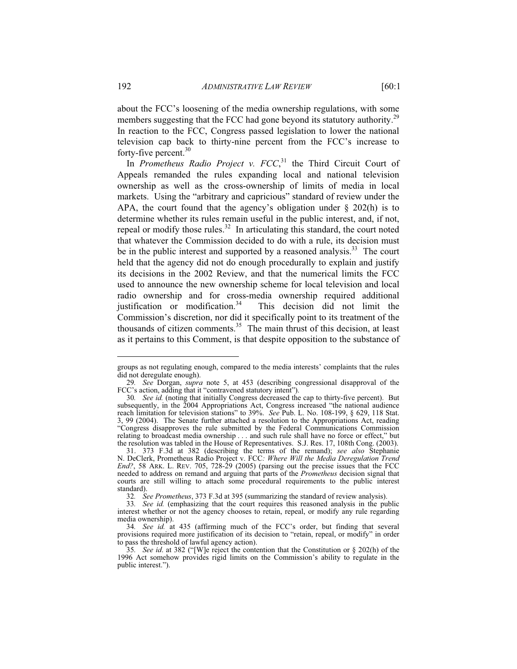about the FCC's loosening of the media ownership regulations, with some members suggesting that the FCC had gone beyond its statutory authority.<sup>29</sup> In reaction to the FCC, Congress passed legislation to lower the national television cap back to thirty-nine percent from the FCC's increase to

In *Prometheus Radio Project v. FCC*,<sup>31</sup> the Third Circuit Court of Appeals remanded the rules expanding local and national television ownership as well as the cross-ownership of limits of media in local markets. Using the "arbitrary and capricious" standard of review under the APA, the court found that the agency's obligation under  $\S$  202(h) is to determine whether its rules remain useful in the public interest, and, if not, repeal or modify those rules. $32$  In articulating this standard, the court noted that whatever the Commission decided to do with a rule, its decision must be in the public interest and supported by a reasoned analysis.<sup>33</sup> The court held that the agency did not do enough procedurally to explain and justify its decisions in the 2002 Review, and that the numerical limits the FCC used to announce the new ownership scheme for local television and local radio ownership and for cross-media ownership required additional justification or modification. $34$  This decision did not limit the Commission's discretion, nor did it specifically point to its treatment of the thousands of citizen comments. $35$  The main thrust of this decision, at least as it pertains to this Comment, is that despite opposition to the substance of

-

forty-five percent.<sup>30</sup>

groups as not regulating enough, compared to the media interests' complaints that the rules did not deregulate enough).

<sup>29</sup>*. See* Dorgan, *supra* note 5, at 453 (describing congressional disapproval of the FCC's action, adding that it "contravened statutory intent").

<sup>30</sup>*. See id.* (noting that initially Congress decreased the cap to thirty-five percent). But subsequently, in the 2004 Appropriations Act, Congress increased "the national audience reach limitation for television stations" to 39%. *See* Pub. L. No. 108-199, § 629, 118 Stat. 3, 99 (2004). The Senate further attached a resolution to the Appropriations Act, reading "Congress disapproves the rule submitted by the Federal Communications Commission relating to broadcast media ownership . . . and such rule shall have no force or effect," but the resolution was tabled in the House of Representatives. S.J. Res. 17, 108th Cong. (2003).

 <sup>31. 373</sup> F.3d at 382 (describing the terms of the remand); *see also* Stephanie N. DeClerk, Prometheus Radio Project v. FCC*: Where Will the Media Deregulation Trend End?*, 58 ARK. L. REV. 705, 728-29 (2005) (parsing out the precise issues that the FCC needed to address on remand and arguing that parts of the *Prometheus* decision signal that courts are still willing to attach some procedural requirements to the public interest standard).

<sup>32</sup>*. See Prometheus*, 373 F.3d at 395 (summarizing the standard of review analysis).

<sup>33</sup>*. See id.* (emphasizing that the court requires this reasoned analysis in the public interest whether or not the agency chooses to retain, repeal, or modify any rule regarding media ownership).

<sup>34</sup>*. See id.* at 435 (affirming much of the FCC's order, but finding that several provisions required more justification of its decision to "retain, repeal, or modify" in order to pass the threshold of lawful agency action).

<sup>35</sup>*. See id*. at 382 ("[W]e reject the contention that the Constitution or § 202(h) of the 1996 Act somehow provides rigid limits on the Commission's ability to regulate in the public interest.").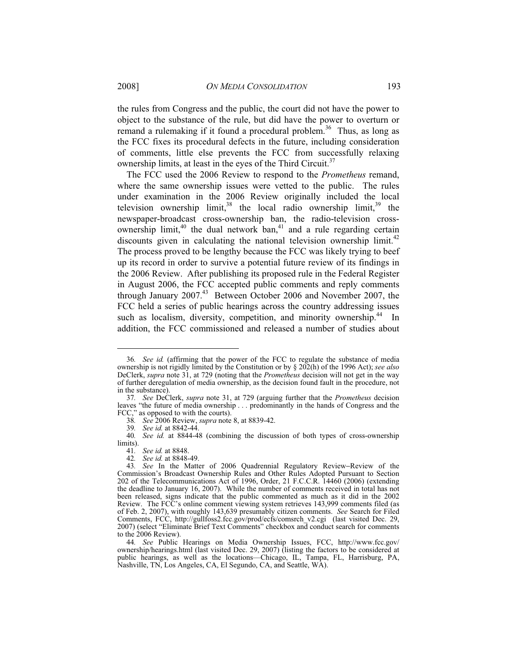the rules from Congress and the public, the court did not have the power to object to the substance of the rule, but did have the power to overturn or remand a rulemaking if it found a procedural problem.<sup>36</sup> Thus, as long as the FCC fixes its procedural defects in the future, including consideration of comments, little else prevents the FCC from successfully relaxing ownership limits, at least in the eyes of the Third Circuit.<sup>37</sup>

The FCC used the 2006 Review to respond to the *Prometheus* remand, where the same ownership issues were vetted to the public. The rules under examination in the 2006 Review originally included the local television ownership limit,  $38$  the local radio ownership limit,  $39$  the newspaper-broadcast cross-ownership ban, the radio-television crossownership limit, $40$  the dual network ban, $41$  and a rule regarding certain discounts given in calculating the national television ownership limit.<sup>42</sup> The process proved to be lengthy because the FCC was likely trying to beef up its record in order to survive a potential future review of its findings in the 2006 Review. After publishing its proposed rule in the Federal Register in August 2006, the FCC accepted public comments and reply comments through January 2007.<sup>43</sup> Between October 2006 and November 2007, the FCC held a series of public hearings across the country addressing issues such as localism, diversity, competition, and minority ownership.<sup>44</sup> In addition, the FCC commissioned and released a number of studies about

-

42*. See id.* at 8848-49.

<sup>36</sup>*. See id.* (affirming that the power of the FCC to regulate the substance of media ownership is not rigidly limited by the Constitution or by § 202(h) of the 1996 Act); *see also*  DeClerk, *supra* note 31, at 729 (noting that the *Prometheus* decision will not get in the way of further deregulation of media ownership, as the decision found fault in the procedure, not in the substance).

<sup>37</sup>*. See* DeClerk, *supra* note 31, at 729 (arguing further that the *Prometheus* decision leaves "the future of media ownership . . . predominantly in the hands of Congress and the FCC," as opposed to with the courts).

<sup>38</sup>*. See* 2006 Review, *supra* note 8, at 8839-42.

<sup>39</sup>*. See id.* at 8842-44.

<sup>40</sup>*. See id.* at 8844-48 (combining the discussion of both types of cross-ownership limits).

<sup>41</sup>*. See id.* at 8848.

<sup>43</sup>*. See* In the Matter of 2006 Quadrennial Regulatory Review−Review of the Commission's Broadcast Ownership Rules and Other Rules Adopted Pursuant to Section 202 of the Telecommunications Act of 1996, Order, 21 F.C.C.R. 14460 (2006) (extending the deadline to January 16, 2007). While the number of comments received in total has not been released, signs indicate that the public commented as much as it did in the 2002 Review. The FCC's online comment viewing system retrieves 143,999 comments filed (as of Feb. 2, 2007), with roughly 143,639 presumably citizen comments. *See* Search for Filed Comments, FCC, http://gullfoss2.fcc.gov/prod/ecfs/comsrch v2.cgi (last visited Dec. 29, 2007) (select "Eliminate Brief Text Comments" checkbox and conduct search for comments to the 2006 Review).

<sup>44</sup>*. See* Public Hearings on Media Ownership Issues, FCC, http://www.fcc.gov/ ownership/hearings.html (last visited Dec. 29, 2007) (listing the factors to be considered at public hearings, as well as the locations—Chicago, IL, Tampa, FL, Harrisburg, PA, Nashville, TN, Los Angeles, CA, El Segundo, CA, and Seattle, WA).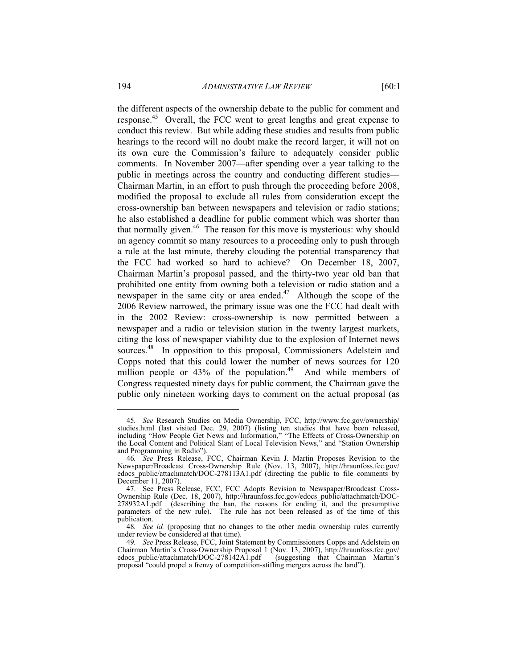the different aspects of the ownership debate to the public for comment and response.45 Overall, the FCC went to great lengths and great expense to conduct this review. But while adding these studies and results from public hearings to the record will no doubt make the record larger, it will not on its own cure the Commission's failure to adequately consider public comments. In November 2007—after spending over a year talking to the public in meetings across the country and conducting different studies— Chairman Martin, in an effort to push through the proceeding before 2008, modified the proposal to exclude all rules from consideration except the cross-ownership ban between newspapers and television or radio stations; he also established a deadline for public comment which was shorter than that normally given.<sup>46</sup> The reason for this move is mysterious: why should an agency commit so many resources to a proceeding only to push through a rule at the last minute, thereby clouding the potential transparency that the FCC had worked so hard to achieve? On December 18, 2007, Chairman Martin's proposal passed, and the thirty-two year old ban that prohibited one entity from owning both a television or radio station and a newspaper in the same city or area ended.<sup>47</sup> Although the scope of the 2006 Review narrowed, the primary issue was one the FCC had dealt with in the 2002 Review: cross-ownership is now permitted between a newspaper and a radio or television station in the twenty largest markets, citing the loss of newspaper viability due to the explosion of Internet news sources.<sup>48</sup> In opposition to this proposal, Commissioners Adelstein and Copps noted that this could lower the number of news sources for 120 million people or  $43\%$  of the population.<sup>49</sup> And while members of Congress requested ninety days for public comment, the Chairman gave the public only nineteen working days to comment on the actual proposal (as

<sup>45</sup>*. See* Research Studies on Media Ownership, FCC, http://www.fcc.gov/ownership/ studies.html (last visited Dec. 29, 2007) (listing ten studies that have been released, including "How People Get News and Information," "The Effects of Cross-Ownership on the Local Content and Political Slant of Local Television News," and "Station Ownership and Programming in Radio").

<sup>46</sup>*. See* Press Release, FCC, Chairman Kevin J. Martin Proposes Revision to the Newspaper/Broadcast Cross-Ownership Rule (Nov. 13, 2007), http://hraunfoss.fcc.gov/ edocs\_public/attachmatch/DOC-278113A1.pdf (directing the public to file comments by December 11, 2007).

 <sup>47.</sup> See Press Release, FCC, FCC Adopts Revision to Newspaper/Broadcast Cross-Ownership Rule (Dec. 18, 2007), http://hraunfoss.fcc.gov/edocs\_public/attachmatch/DOC-278932A1.pdf (describing the ban, the reasons for ending it, and the presumptive parameters of the new rule). The rule has not been released as of the time of this publication.

<sup>48</sup>*. See id.* (proposing that no changes to the other media ownership rules currently under review be considered at that time).

<sup>49</sup>*. See* Press Release, FCC, Joint Statement by Commissioners Copps and Adelstein on Chairman Martin's Cross-Ownership Proposal 1 (Nov. 13, 2007), http://hraunfoss.fcc.gov/ edocs public/attachmatch/DOC-278142A1.pdf proposal "could propel a frenzy of competition-stifling mergers across the land").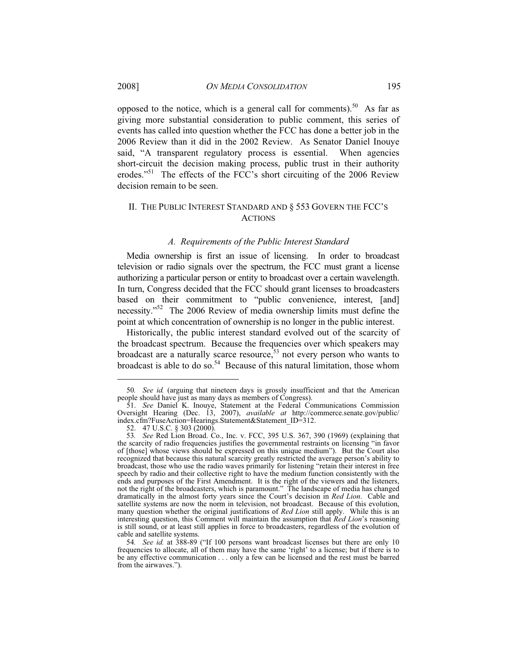opposed to the notice, which is a general call for comments).<sup>50</sup> As far as giving more substantial consideration to public comment, this series of events has called into question whether the FCC has done a better job in the 2006 Review than it did in the 2002 Review. As Senator Daniel Inouye said, "A transparent regulatory process is essential. When agencies short-circuit the decision making process, public trust in their authority erodes."<sup>51</sup> The effects of the FCC's short circuiting of the 2006 Review decision remain to be seen.

# II. THE PUBLIC INTEREST STANDARD AND § 553 GOVERN THE FCC'S ACTIONS

#### *A. Requirements of the Public Interest Standard*

Media ownership is first an issue of licensing. In order to broadcast television or radio signals over the spectrum, the FCC must grant a license authorizing a particular person or entity to broadcast over a certain wavelength. In turn, Congress decided that the FCC should grant licenses to broadcasters based on their commitment to "public convenience, interest, [and] necessity."52 The 2006 Review of media ownership limits must define the point at which concentration of ownership is no longer in the public interest.

Historically, the public interest standard evolved out of the scarcity of the broadcast spectrum. Because the frequencies over which speakers may broadcast are a naturally scarce resource,  $53$  not every person who wants to broadcast is able to do so.<sup>54</sup> Because of this natural limitation, those whom

<sup>50</sup>*. See id.* (arguing that nineteen days is grossly insufficient and that the American people should have just as many days as members of Congress).

 <sup>51.</sup> *See* Daniel K. Inouye, Statement at the Federal Communications Commission Oversight Hearing (Dec. 13, 2007), *available at* http://commerce.senate.gov/public/ index.cfm?FuseAction=Hearings.Statement&Statement\_ID=312.

 <sup>52. 47</sup> U.S.C. § 303 (2000).

<sup>53</sup>*. See* Red Lion Broad. Co., Inc. v. FCC, 395 U.S. 367, 390 (1969) (explaining that the scarcity of radio frequencies justifies the governmental restraints on licensing "in favor of [those] whose views should be expressed on this unique medium"). But the Court also recognized that because this natural scarcity greatly restricted the average person's ability to broadcast, those who use the radio waves primarily for listening "retain their interest in free speech by radio and their collective right to have the medium function consistently with the ends and purposes of the First Amendment. It is the right of the viewers and the listeners, not the right of the broadcasters, which is paramount." The landscape of media has changed dramatically in the almost forty years since the Court's decision in *Red Lion*. Cable and satellite systems are now the norm in television, not broadcast. Because of this evolution, many question whether the original justifications of *Red Lion* still apply. While this is an interesting question, this Comment will maintain the assumption that *Red Lion*'s reasoning is still sound, or at least still applies in force to broadcasters, regardless of the evolution of cable and satellite systems.

<sup>54</sup>*. See id.* at 388-89 ("If 100 persons want broadcast licenses but there are only 10 frequencies to allocate, all of them may have the same 'right' to a license; but if there is to be any effective communication . . . only a few can be licensed and the rest must be barred from the airwaves.").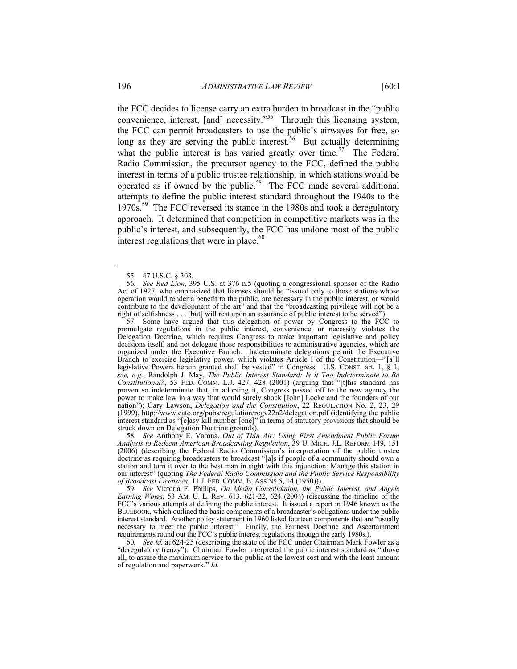the FCC decides to license carry an extra burden to broadcast in the "public convenience, interest, [and] necessity."<sup>55</sup> Through this licensing system, the FCC can permit broadcasters to use the public's airwaves for free, so long as they are serving the public interest.<sup>56</sup> But actually determining what the public interest is has varied greatly over time.<sup>57</sup> The Federal Radio Commission, the precursor agency to the FCC, defined the public interest in terms of a public trustee relationship, in which stations would be operated as if owned by the public.<sup>58</sup> The FCC made several additional attempts to define the public interest standard throughout the 1940s to the 1970s.<sup>59</sup> The FCC reversed its stance in the 1980s and took a deregulatory approach. It determined that competition in competitive markets was in the public's interest, and subsequently, the FCC has undone most of the public

-

interest regulations that were in place. $60$ 

 57. Some have argued that this delegation of power by Congress to the FCC to promulgate regulations in the public interest, convenience, or necessity violates the Delegation Doctrine, which requires Congress to make important legislative and policy decisions itself, and not delegate those responsibilities to administrative agencies, which are organized under the Executive Branch. Indeterminate delegations permit the Executive Branch to exercise legislative power, which violates Article I of the Constitution—"[a]ll legislative Powers herein granted shall be vested" in Congress. U.S. CONST. art. 1, § 1; *see, e.g.*, Randolph J. May, *The Public Interest Standard: Is it Too Indeterminate to Be Constitutional?*, 53 FED. COMM. L.J. 427, 428 (2001) (arguing that "[t]his standard has proven so indeterminate that, in adopting it, Congress passed off to the new agency the power to make law in a way that would surely shock [John] Locke and the founders of our nation"); Gary Lawson, *Delegation and the Constitution*, 22 REGULATION No. 2, 23, 29 (1999), http://www.cato.org/pubs/regulation/regv22n2/delegation.pdf (identifying the public interest standard as "[e]asy kill number [one]" in terms of statutory provisions that should be struck down on Delegation Doctrine grounds).

58*. See* Anthony E. Varona, *Out of Thin Air: Using First Amendment Public Forum Analysis to Redeem American Broadcasting Regulation*, 39 U. MICH. J.L. REFORM 149, 151 (2006) (describing the Federal Radio Commission's interpretation of the public trustee doctrine as requiring broadcasters to broadcast "[a]s if people of a community should own a station and turn it over to the best man in sight with this injunction: Manage this station in our interest" (quoting *The Federal Radio Commission and the Public Service Responsibility of Broadcast Licensees*, 11 J. FED. COMM. B. ASS'NS 5, 14 (1950))).

59*. See* Victoria F. Phillips, *On Media Consolidation, the Public Interest, and Angels Earning Wings*, 53 AM. U. L. REV. 613, 621-22, 624 (2004) (discussing the timeline of the FCC's various attempts at defining the public interest. It issued a report in 1946 known as the BLUEBOOK, which outlined the basic components of a broadcaster's obligations under the public interest standard. Another policy statement in 1960 listed fourteen components that are "usually necessary to meet the public interest." Finally, the Fairness Doctrine and Ascertainment requirements round out the FCC's public interest regulations through the early 1980s.).

60*. See id.* at 624-25 (describing the state of the FCC under Chairman Mark Fowler as a "deregulatory frenzy"). Chairman Fowler interpreted the public interest standard as "above all, to assure the maximum service to the public at the lowest cost and with the least amount of regulation and paperwork." *Id.*

 <sup>55. 47</sup> U.S.C. § 303.

<sup>56</sup>*. See Red Lion*, 395 U.S. at 376 n.5 (quoting a congressional sponsor of the Radio Act of 1927, who emphasized that licenses should be "issued only to those stations whose operation would render a benefit to the public, are necessary in the public interest, or would contribute to the development of the art" and that the "broadcasting privilege will not be a right of selfishness . . . [but] will rest upon an assurance of public interest to be served").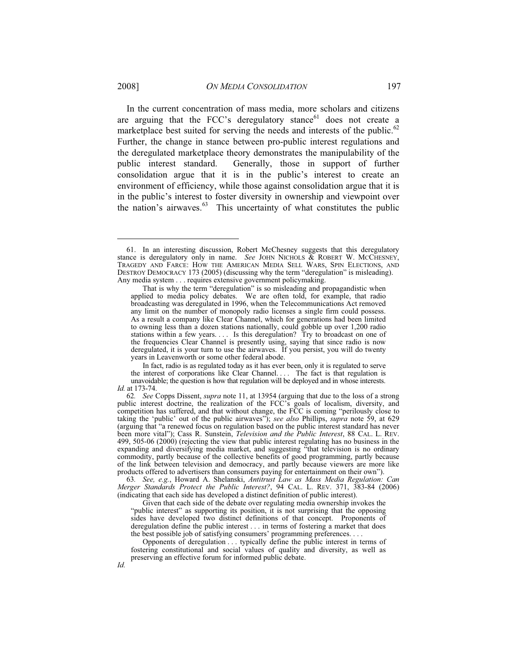In the current concentration of mass media, more scholars and citizens are arguing that the FCC's deregulatory stance $61$  does not create a marketplace best suited for serving the needs and interests of the public.<sup>62</sup> Further, the change in stance between pro-public interest regulations and the deregulated marketplace theory demonstrates the manipulability of the public interest standard. Generally, those in support of further consolidation argue that it is in the public's interest to create an environment of efficiency, while those against consolidation argue that it is in the public's interest to foster diversity in ownership and viewpoint over the nation's airwaves.<sup>63</sup> This uncertainty of what constitutes the public

 In fact, radio is as regulated today as it has ever been, only it is regulated to serve the interest of corporations like Clear Channel. . . . The fact is that regulation is

unavoidable; the question is how that regulation will be deployed and in whose interests. *Id.* at 173-74.

63*. See, e.g.*, Howard A. Shelanski, *Antitrust Law as Mass Media Regulation: Can Merger Standards Protect the Public Interest?*, 94 CAL. L. REV. 371, 383-84 (2006) (indicating that each side has developed a distinct definition of public interest).

 Given that each side of the debate over regulating media ownership invokes the "public interest" as supporting its position, it is not surprising that the opposing sides have developed two distinct definitions of that concept. Proponents of deregulation define the public interest . . . in terms of fostering a market that does the best possible job of satisfying consumers' programming preferences. . . .

 Opponents of deregulation . . . typically define the public interest in terms of fostering constitutional and social values of quality and diversity, as well as preserving an effective forum for informed public debate.

 <sup>61.</sup> In an interesting discussion, Robert McChesney suggests that this deregulatory stance is deregulatory only in name. *See* JOHN NICHOLS & ROBERT W. MCCHESNEY, TRAGEDY AND FARCE: HOW THE AMERICAN MEDIA SELL WARS, SPIN ELECTIONS, AND DESTROY DEMOCRACY 173 (2005) (discussing why the term "deregulation" is misleading). Any media system . . . requires extensive government policymaking.

That is why the term "deregulation" is so misleading and propagandistic when applied to media policy debates. We are often told, for example, that radio broadcasting was deregulated in 1996, when the Telecommunications Act removed any limit on the number of monopoly radio licenses a single firm could possess. As a result a company like Clear Channel, which for generations had been limited to owning less than a dozen stations nationally, could gobble up over 1,200 radio stations within a few years. . . . Is this deregulation? Try to broadcast on one of the frequencies Clear Channel is presently using, saying that since radio is now deregulated, it is your turn to use the airwaves. If you persist, you will do twenty years in Leavenworth or some other federal abode.

<sup>62</sup>*. See* Copps Dissent, *supra* note 11, at 13954 (arguing that due to the loss of a strong public interest doctrine, the realization of the FCC's goals of localism, diversity, and competition has suffered, and that without change, the FCC is coming "perilously close to taking the 'public' out of the public airwaves"); *see also* Phillips, *supra* note 59, at 629 (arguing that "a renewed focus on regulation based on the public interest standard has never been more vital"); Cass R. Sunstein, *Television and the Public Interest*, 88 CAL. L. REV. 499, 505-06 (2000) (rejecting the view that public interest regulating has no business in the expanding and diversifying media market, and suggesting "that television is no ordinary commodity, partly because of the collective benefits of good programming, partly because of the link between television and democracy, and partly because viewers are more like products offered to advertisers than consumers paying for entertainment on their own").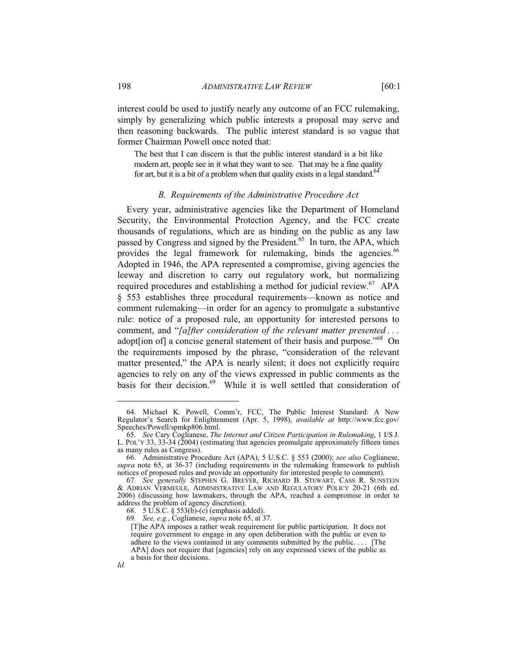interest could be used to justify nearly any outcome of an FCC rulemaking, simply by generalizing which public interests a proposal may serve and then reasoning backwards. The public interest standard is so vague that former Chairman Powell once noted that:

The best that I can discern is that the public interest standard is a bit like modern art, people see in it what they want to see. That may be a fine quality for art, but it is a bit of a problem when that quality exists in a legal standard.<sup>64</sup>

#### *B. Requirements of the Administrative Procedure Act*

Every year, administrative agencies like the Department of Homeland Security, the Environmental Protection Agency, and the FCC create thousands of regulations, which are as binding on the public as any law passed by Congress and signed by the President.<sup>65</sup> In turn, the APA, which provides the legal framework for rulemaking, binds the agencies.<sup>66</sup> Adopted in 1946, the APA represented a compromise, giving agencies the leeway and discretion to carry out regulatory work, but normalizing required procedures and establishing a method for judicial review.<sup>67</sup> APA § 553 establishes three procedural requirements—known as notice and comment rulemaking—in order for an agency to promulgate a substantive rule: notice of a proposed rule, an opportunity for interested persons to comment, and "*[a]fter consideration of the relevant matter presented . . .* adopt [ion of] a concise general statement of their basis and purpose."<sup>68</sup> On the requirements imposed by the phrase, "consideration of the relevant matter presented," the APA is nearly silent; it does not explicitly require agencies to rely on any of the views expressed in public comments as the basis for their decision.<sup>69</sup> While it is well settled that consideration of

 $\overline{a}$ 

*Id.*

 <sup>64.</sup> Michael K. Powell, Comm'r, FCC, The Public Interest Standard: A New Regulator's Search for Enlightenment (Apr. 5, 1998), *available at* http://www.fcc.gov/ Speeches/Powell/spmkp806.html.

<sup>65</sup>*. See* Cary Coglianese, *The Internet and Citizen Participation in Rulemaking*, 1 I/S J. L. POL'Y 33, 33-34 (2004) (estimating that agencies promulgate approximately fifteen times as many rules as Congress).

 <sup>66.</sup> Administrative Procedure Act (APA), 5 U.S.C. § 553 (2000); *see also* Coglianese, *supra* note 65, at 36-37 (including requirements in the rulemaking framework to publish notices of proposed rules and provide an opportunity for interested people to comment).

<sup>67</sup>*. See generally* STEPHEN G. BREYER, RICHARD B. STEWART, CASS R. SUNSTEIN & ADRIAN VERMEULE, ADMINISTRATIVE LAW AND REGULATORY POLICY 20-21 (6th ed. 2006) (discussing how lawmakers, through the APA, reached a compromise in order to address the problem of agency discretion).

 <sup>68. 5</sup> U.S.C. § 553(b)-(c) (emphasis added).

<sup>69</sup>*. See, e.g.*, Coglianese, *supra* note 65, at 37.

<sup>[</sup>T]he APA imposes a rather weak requirement for public participation. It does not require government to engage in any open deliberation with the public or even to adhere to the views contained in any comments submitted by the public. . . . [The APA] does not require that [agencies] rely on any expressed views of the public as a basis for their decisions.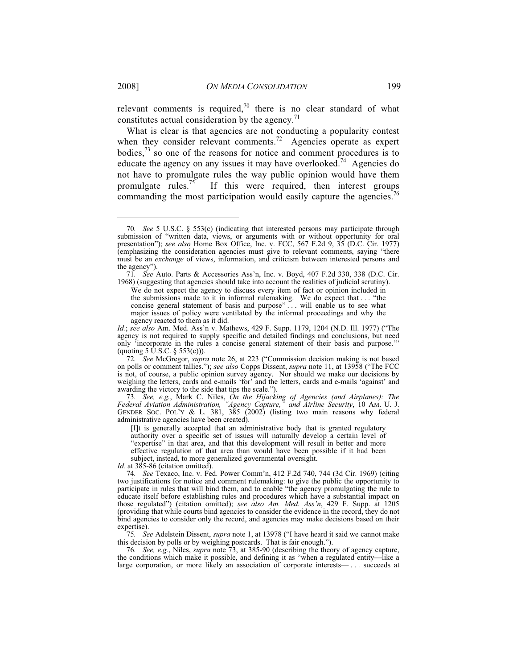relevant comments is required,<sup>70</sup> there is no clear standard of what constitutes actual consideration by the agency. $^{71}$ 

What is clear is that agencies are not conducting a popularity contest when they consider relevant comments.<sup>72</sup> Agencies operate as expert bodies, $7<sup>3</sup>$  so one of the reasons for notice and comment procedures is to educate the agency on any issues it may have overlooked.<sup>74</sup> Agencies do not have to promulgate rules the way public opinion would have them promulgate rules.<sup>75</sup> If this were required, then interest groups If this were required, then interest groups commanding the most participation would easily capture the agencies.<sup>76</sup>

73*. See, e.g.*, Mark C. Niles, *On the Hijacking of Agencies (and Airplanes): The Federal Aviation Administration, "Agency Capture," and Airline Security*, 10 AM. U. J. GENDER SOC. POL'Y & L. 381, 385 (2002) (listing two main reasons why federal administrative agencies have been created).

[I]t is generally accepted that an administrative body that is granted regulatory authority over a specific set of issues will naturally develop a certain level of "expertise" in that area, and that this development will result in better and more effective regulation of that area than would have been possible if it had been subject, instead, to more generalized governmental oversight.

*Id.* at 385-86 (citation omitted).

75*. See* Adelstein Dissent, *supra* note 1, at 13978 ("I have heard it said we cannot make this decision by polls or by weighing postcards. That is fair enough.").

76*. See, e.g.*, Niles, *supra* note 73, at 385-90 (describing the theory of agency capture, the conditions which make it possible, and defining it as "when a regulated entity—like a large corporation, or more likely an association of corporate interests— . . . succeeds at

<sup>70</sup>*. See* 5 U.S.C. § 553(c) (indicating that interested persons may participate through submission of "written data, views, or arguments with or without opportunity for oral presentation"); *see also* Home Box Office, Inc. v. FCC, 567 F.2d 9, 35 (D.C. Cir. 1977) (emphasizing the consideration agencies must give to relevant comments, saying "there must be an *exchange* of views, information, and criticism between interested persons and the agency").

<sup>71</sup>*. See* Auto. Parts & Accessories Ass'n, Inc. v. Boyd, 407 F.2d 330, 338 (D.C. Cir. 1968) (suggesting that agencies should take into account the realities of judicial scrutiny).

We do not expect the agency to discuss every item of fact or opinion included in the submissions made to it in informal rulemaking. We do expect that . . . "the concise general statement of basis and purpose"... will enable us to see what major issues of policy were ventilated by the informal proceedings and why the agency reacted to them as it did.

*Id.*; *see also* Am. Med. Ass'n v. Mathews, 429 F. Supp. 1179, 1204 (N.D. Ill. 1977) ("The agency is not required to supply specific and detailed findings and conclusions, but need only 'incorporate in the rules a concise general statement of their basis and purpose.'" (quoting 5  $\dot{U}$ .S.C. § 553(c))).

<sup>72</sup>*. See* McGregor, *supra* note 26, at 223 ("Commission decision making is not based on polls or comment tallies."); *see also* Copps Dissent, *supra* note 11, at 13958 ("The FCC is not, of course, a public opinion survey agency. Nor should we make our decisions by weighing the letters, cards and e-mails 'for' and the letters, cards and e-mails 'against' and awarding the victory to the side that tips the scale.").

<sup>74</sup>*. See* Texaco, Inc. v. Fed. Power Comm'n, 412 F.2d 740, 744 (3d Cir. 1969) (citing two justifications for notice and comment rulemaking: to give the public the opportunity to participate in rules that will bind them, and to enable "the agency promulgating the rule to educate itself before establishing rules and procedures which have a substantial impact on those regulated") (citation omitted); *see also Am. Med. Ass'n*, 429 F. Supp. at 1205 (providing that while courts bind agencies to consider the evidence in the record, they do not bind agencies to consider only the record, and agencies may make decisions based on their expertise).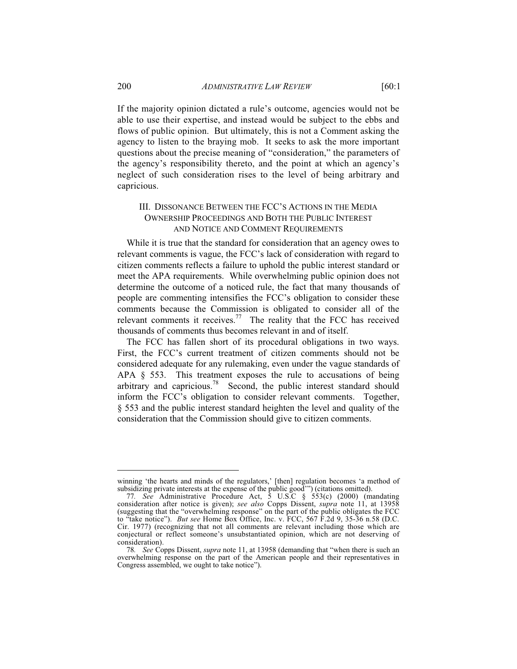If the majority opinion dictated a rule's outcome, agencies would not be able to use their expertise, and instead would be subject to the ebbs and flows of public opinion. But ultimately, this is not a Comment asking the agency to listen to the braying mob. It seeks to ask the more important questions about the precise meaning of "consideration," the parameters of the agency's responsibility thereto, and the point at which an agency's neglect of such consideration rises to the level of being arbitrary and capricious.

# III. DISSONANCE BETWEEN THE FCC'S ACTIONS IN THE MEDIA OWNERSHIP PROCEEDINGS AND BOTH THE PUBLIC INTEREST AND NOTICE AND COMMENT REQUIREMENTS

While it is true that the standard for consideration that an agency owes to relevant comments is vague, the FCC's lack of consideration with regard to citizen comments reflects a failure to uphold the public interest standard or meet the APA requirements. While overwhelming public opinion does not determine the outcome of a noticed rule, the fact that many thousands of people are commenting intensifies the FCC's obligation to consider these comments because the Commission is obligated to consider all of the relevant comments it receives.<sup>77</sup> The reality that the FCC has received thousands of comments thus becomes relevant in and of itself.

The FCC has fallen short of its procedural obligations in two ways. First, the FCC's current treatment of citizen comments should not be considered adequate for any rulemaking, even under the vague standards of APA § 553. This treatment exposes the rule to accusations of being arbitrary and capricious.<sup>78</sup> Second, the public interest standard should inform the FCC's obligation to consider relevant comments. Together, § 553 and the public interest standard heighten the level and quality of the consideration that the Commission should give to citizen comments.

winning 'the hearts and minds of the regulators,' [then] regulation becomes 'a method of subsidizing private interests at the expense of the public good'") (citations omitted).

<sup>77</sup>*. See* Administrative Procedure Act, 5 U.S.C § 553(c) (2000) (mandating consideration after notice is given); *see also* Copps Dissent, *supra* note 11, at 13958 (suggesting that the "overwhelming response" on the part of the public obligates the FCC to "take notice"). *But see* Home Box Office, Inc. v. FCC, 567 F.2d 9, 35-36 n.58 (D.C. Cir. 1977) (recognizing that not all comments are relevant including those which are conjectural or reflect someone's unsubstantiated opinion, which are not deserving of consideration).

<sup>78</sup>*. See* Copps Dissent, *supra* note 11, at 13958 (demanding that "when there is such an overwhelming response on the part of the American people and their representatives in Congress assembled, we ought to take notice").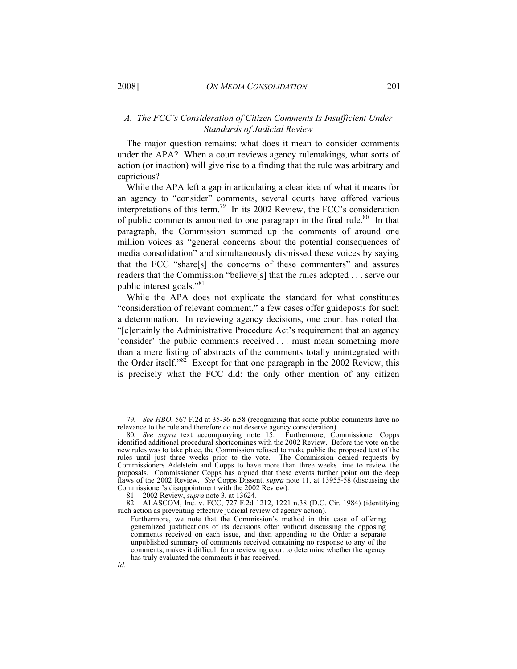# *A. The FCC's Consideration of Citizen Comments Is Insufficient Under Standards of Judicial Review*

The major question remains: what does it mean to consider comments under the APA? When a court reviews agency rulemakings, what sorts of action (or inaction) will give rise to a finding that the rule was arbitrary and capricious?

While the APA left a gap in articulating a clear idea of what it means for an agency to "consider" comments, several courts have offered various interpretations of this term.79 In its 2002 Review, the FCC's consideration of public comments amounted to one paragraph in the final rule.<sup>80</sup> In that paragraph, the Commission summed up the comments of around one million voices as "general concerns about the potential consequences of media consolidation" and simultaneously dismissed these voices by saying that the FCC "share[s] the concerns of these commenters" and assures readers that the Commission "believe[s] that the rules adopted . . . serve our public interest goals."<sup>81</sup>

While the APA does not explicate the standard for what constitutes "consideration of relevant comment," a few cases offer guideposts for such a determination. In reviewing agency decisions, one court has noted that "[c]ertainly the Administrative Procedure Act's requirement that an agency 'consider' the public comments received . . . must mean something more than a mere listing of abstracts of the comments totally unintegrated with the Order itself." $82^{\circ}$  Except for that one paragraph in the 2002 Review, this is precisely what the FCC did: the only other mention of any citizen

<sup>79</sup>*. See HBO*, 567 F.2d at 35-36 n.58 (recognizing that some public comments have no relevance to the rule and therefore do not deserve agency consideration).

<sup>80</sup>*. See supra* text accompanying note 15. Furthermore, Commissioner Copps identified additional procedural shortcomings with the 2002 Review. Before the vote on the new rules was to take place, the Commission refused to make public the proposed text of the rules until just three weeks prior to the vote. The Commission denied requests by Commissioners Adelstein and Copps to have more than three weeks time to review the proposals. Commissioner Copps has argued that these events further point out the deep flaws of the 2002 Review. *See* Copps Dissent, *supra* note 11, at 13955-58 (discussing the Commissioner's disappointment with the 2002 Review).

 <sup>81. 2002</sup> Review, *supra* note 3, at 13624.

 <sup>82.</sup> ALASCOM, Inc. v. FCC, 727 F.2d 1212, 1221 n.38 (D.C. Cir. 1984) (identifying such action as preventing effective judicial review of agency action).

Furthermore, we note that the Commission's method in this case of offering generalized justifications of its decisions often without discussing the opposing comments received on each issue, and then appending to the Order a separate unpublished summary of comments received containing no response to any of the comments, makes it difficult for a reviewing court to determine whether the agency has truly evaluated the comments it has received. *Id.*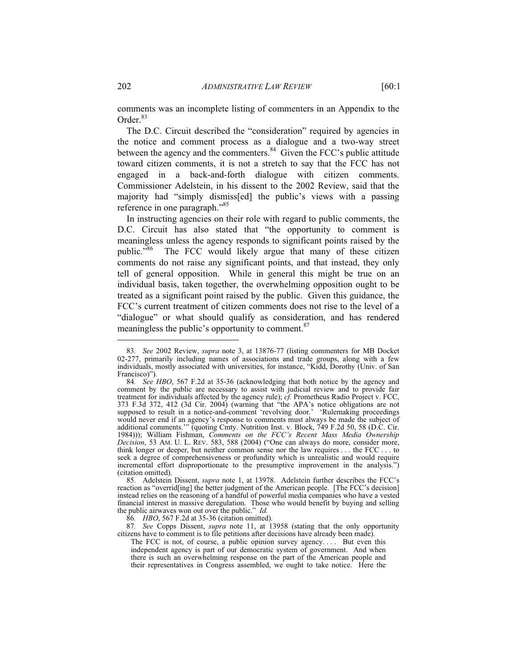The D.C. Circuit described the "consideration" required by agencies in the notice and comment process as a dialogue and a two-way street between the agency and the commenters.<sup>84</sup> Given the FCC's public attitude toward citizen comments, it is not a stretch to say that the FCC has not engaged in a back-and-forth dialogue with citizen comments. Commissioner Adelstein, in his dissent to the 2002 Review, said that the majority had "simply dismiss[ed] the public's views with a passing reference in one paragraph."<sup>85</sup>

In instructing agencies on their role with regard to public comments, the D.C. Circuit has also stated that "the opportunity to comment is meaningless unless the agency responds to significant points raised by the public."<sup>86</sup> The FCC would likely argue that many of these citizen comments do not raise any significant points, and that instead, they only tell of general opposition. While in general this might be true on an individual basis, taken together, the overwhelming opposition ought to be treated as a significant point raised by the public. Given this guidance, the FCC's current treatment of citizen comments does not rise to the level of a "dialogue" or what should qualify as consideration, and has rendered meaningless the public's opportunity to comment.<sup>87</sup>

86*. HBO*, 567 F.2d at 35-36 (citation omitted)*.*

87*. See* Copps Dissent, *supra* note 11, at 13958 (stating that the only opportunity citizens have to comment is to file petitions after decisions have already been made).

<sup>83</sup>*. See* 2002 Review, *supra* note 3, at 13876-77 (listing commenters for MB Docket 02-277, primarily including names of associations and trade groups, along with a few individuals, mostly associated with universities, for instance, "Kidd, Dorothy (Univ. of San Francisco)").

<sup>84</sup>*. See HBO*, 567 F.2d at 35-36 (acknowledging that both notice by the agency and comment by the public are necessary to assist with judicial review and to provide fair treatment for individuals affected by the agency rule); *cf.* Prometheus Radio Project v. FCC, 373 F.3d 372, 412 (3d Cir. 2004) (warning that "the APA's notice obligations are not supposed to result in a notice-and-comment 'revolving door.' 'Rulemaking proceedings would never end if an agency's response to comments must always be made the subject of additional comments.'" (quoting Cmty. Nutrition Inst. v. Block, 749 F.2d 50, 58 (D.C. Cir. 1984))); William Fishman, *Comments on the FCC's Recent Mass Media Ownership Decision*, 53 AM. U. L. REV. 583, 588 (2004) ("One can always do more, consider more, think longer or deeper, but neither common sense nor the law requires . . . the FCC . . . to seek a degree of comprehensiveness or profundity which is unrealistic and would require incremental effort disproportionate to the presumptive improvement in the analysis.") (citation omitted).

 <sup>85.</sup> Adelstein Dissent, *supra* note 1, at 13978. Adelstein further describes the FCC's reaction as "overrid[ing] the better judgment of the American people. [The FCC's decision] instead relies on the reasoning of a handful of powerful media companies who have a vested financial interest in massive deregulation. Those who would benefit by buying and selling the public airwaves won out over the public." *Id*.

The FCC is not, of course, a public opinion survey agency.... But even this independent agency is part of our democratic system of government. And when there is such an overwhelming response on the part of the American people and their representatives in Congress assembled, we ought to take notice. Here the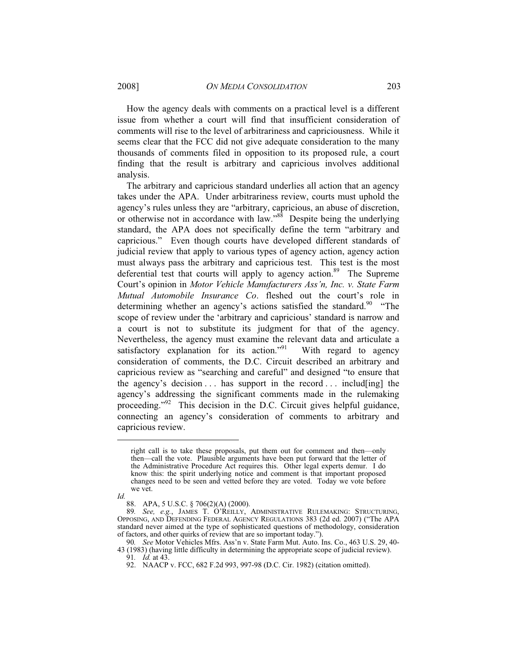How the agency deals with comments on a practical level is a different issue from whether a court will find that insufficient consideration of comments will rise to the level of arbitrariness and capriciousness. While it seems clear that the FCC did not give adequate consideration to the many thousands of comments filed in opposition to its proposed rule, a court finding that the result is arbitrary and capricious involves additional analysis.

The arbitrary and capricious standard underlies all action that an agency takes under the APA. Under arbitrariness review, courts must uphold the agency's rules unless they are "arbitrary, capricious, an abuse of discretion, or otherwise not in accordance with law."<sup>88</sup> Despite being the underlying standard, the APA does not specifically define the term "arbitrary and capricious." Even though courts have developed different standards of judicial review that apply to various types of agency action, agency action must always pass the arbitrary and capricious test. This test is the most deferential test that courts will apply to agency action.<sup>89</sup> The Supreme Court's opinion in *Motor Vehicle Manufacturers Ass'n, Inc. v. State Farm Mutual Automobile Insurance Co*. fleshed out the court's role in determining whether an agency's actions satisfied the standard.<sup>90</sup> "The scope of review under the 'arbitrary and capricious' standard is narrow and a court is not to substitute its judgment for that of the agency. Nevertheless, the agency must examine the relevant data and articulate a satisfactory explanation for its action."<sup>91</sup> With regard to agency consideration of comments, the D.C. Circuit described an arbitrary and capricious review as "searching and careful" and designed "to ensure that the agency's decision  $\ldots$  has support in the record  $\ldots$  includ[ing] the agency's addressing the significant comments made in the rulemaking proceeding."92 This decision in the D.C. Circuit gives helpful guidance, connecting an agency's consideration of comments to arbitrary and capricious review.

*Id.*

right call is to take these proposals, put them out for comment and then—only then—call the vote. Plausible arguments have been put forward that the letter of the Administrative Procedure Act requires this. Other legal experts demur. I do know this: the spirit underlying notice and comment is that important proposed changes need to be seen and vetted before they are voted. Today we vote before we vet.

 <sup>88.</sup> APA, 5 U.S.C. § 706(2)(A) (2000).

<sup>89</sup>*. See, e.g.*, JAMES T. O'REILLY, ADMINISTRATIVE RULEMAKING: STRUCTURING, OPPOSING, AND DEFENDING FEDERAL AGENCY REGULATIONS 383 (2d ed. 2007) ("The APA standard never aimed at the type of sophisticated questions of methodology, consideration of factors, and other quirks of review that are so important today.").

<sup>90</sup>*. See* Motor Vehicles Mfrs. Ass'n v. State Farm Mut. Auto. Ins. Co., 463 U.S. 29, 40- 43 (1983) (having little difficulty in determining the appropriate scope of judicial review).

<sup>91</sup>*. Id.* at 43.

 <sup>92.</sup> NAACP v. FCC, 682 F.2d 993, 997-98 (D.C. Cir. 1982) (citation omitted).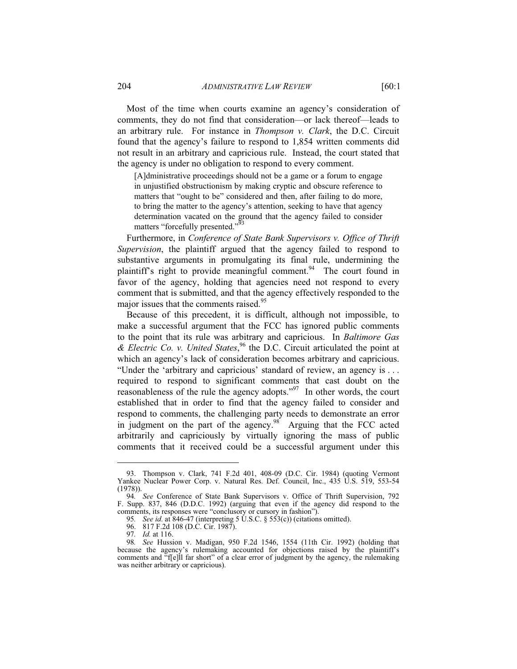Most of the time when courts examine an agency's consideration of comments, they do not find that consideration—or lack thereof—leads to an arbitrary rule. For instance in *Thompson v. Clark*, the D.C. Circuit found that the agency's failure to respond to 1,854 written comments did not result in an arbitrary and capricious rule. Instead, the court stated that the agency is under no obligation to respond to every comment.

[A]dministrative proceedings should not be a game or a forum to engage in unjustified obstructionism by making cryptic and obscure reference to matters that "ought to be" considered and then, after failing to do more, to bring the matter to the agency's attention, seeking to have that agency determination vacated on the ground that the agency failed to consider matters "forcefully presented."<sup>93</sup>

Furthermore, in *Conference of State Bank Supervisors v. Office of Thrift Supervision*, the plaintiff argued that the agency failed to respond to substantive arguments in promulgating its final rule, undermining the plaintiff's right to provide meaningful comment.<sup>94</sup> The court found in favor of the agency, holding that agencies need not respond to every comment that is submitted, and that the agency effectively responded to the major issues that the comments raised.<sup>95</sup>

Because of this precedent, it is difficult, although not impossible, to make a successful argument that the FCC has ignored public comments to the point that its rule was arbitrary and capricious. In *Baltimore Gas & Electric Co. v. United States*, 96 the D.C. Circuit articulated the point at which an agency's lack of consideration becomes arbitrary and capricious. "Under the 'arbitrary and capricious' standard of review, an agency is . . . required to respond to significant comments that cast doubt on the reasonableness of the rule the agency adopts."<sup>97</sup> In other words, the court established that in order to find that the agency failed to consider and respond to comments, the challenging party needs to demonstrate an error in judgment on the part of the agency.<sup>98</sup> Arguing that the FCC acted arbitrarily and capriciously by virtually ignoring the mass of public comments that it received could be a successful argument under this

 <sup>93.</sup> Thompson v. Clark, 741 F.2d 401, 408-09 (D.C. Cir. 1984) (quoting Vermont Yankee Nuclear Power Corp. v. Natural Res. Def. Council, Inc., 435 U.S. 519, 553-54 (1978)).

<sup>94</sup>*. See* Conference of State Bank Supervisors v. Office of Thrift Supervision, 792 F. Supp. 837, 846 (D.D.C. 1992) (arguing that even if the agency did respond to the comments, its responses were "conclusory or cursory in fashion").

<sup>95</sup>*. See id*. at 846-47 (interpreting 5 U.S.C. § 553(c)) (citations omitted).

<sup>96. 817</sup> F.2d 108 (D.C. Cir. 1987).<br>97. Id. at 116.

*Id.* at 116.

<sup>98</sup>*. See* Hussion v. Madigan, 950 F.2d 1546, 1554 (11th Cir. 1992) (holding that because the agency's rulemaking accounted for objections raised by the plaintiff's comments and "f[e]ll far short" of a clear error of judgment by the agency, the rulemaking was neither arbitrary or capricious).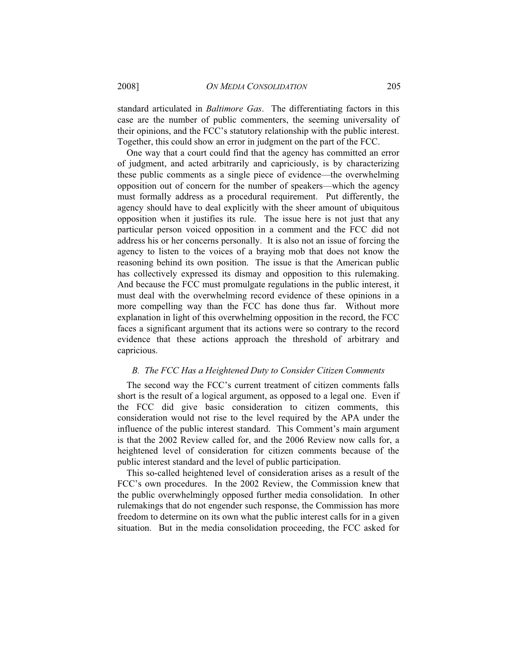2008] *ON MEDIA CONSOLIDATION* 205

standard articulated in *Baltimore Gas*. The differentiating factors in this case are the number of public commenters, the seeming universality of their opinions, and the FCC's statutory relationship with the public interest. Together, this could show an error in judgment on the part of the FCC.

One way that a court could find that the agency has committed an error of judgment, and acted arbitrarily and capriciously, is by characterizing these public comments as a single piece of evidence—the overwhelming opposition out of concern for the number of speakers—which the agency must formally address as a procedural requirement. Put differently, the agency should have to deal explicitly with the sheer amount of ubiquitous opposition when it justifies its rule. The issue here is not just that any particular person voiced opposition in a comment and the FCC did not address his or her concerns personally. It is also not an issue of forcing the agency to listen to the voices of a braying mob that does not know the reasoning behind its own position. The issue is that the American public has collectively expressed its dismay and opposition to this rulemaking. And because the FCC must promulgate regulations in the public interest, it must deal with the overwhelming record evidence of these opinions in a more compelling way than the FCC has done thus far. Without more explanation in light of this overwhelming opposition in the record, the FCC faces a significant argument that its actions were so contrary to the record evidence that these actions approach the threshold of arbitrary and capricious.

### *B. The FCC Has a Heightened Duty to Consider Citizen Comments*

The second way the FCC's current treatment of citizen comments falls short is the result of a logical argument, as opposed to a legal one. Even if the FCC did give basic consideration to citizen comments, this consideration would not rise to the level required by the APA under the influence of the public interest standard. This Comment's main argument is that the 2002 Review called for, and the 2006 Review now calls for, a heightened level of consideration for citizen comments because of the public interest standard and the level of public participation.

This so-called heightened level of consideration arises as a result of the FCC's own procedures. In the 2002 Review, the Commission knew that the public overwhelmingly opposed further media consolidation. In other rulemakings that do not engender such response, the Commission has more freedom to determine on its own what the public interest calls for in a given situation. But in the media consolidation proceeding, the FCC asked for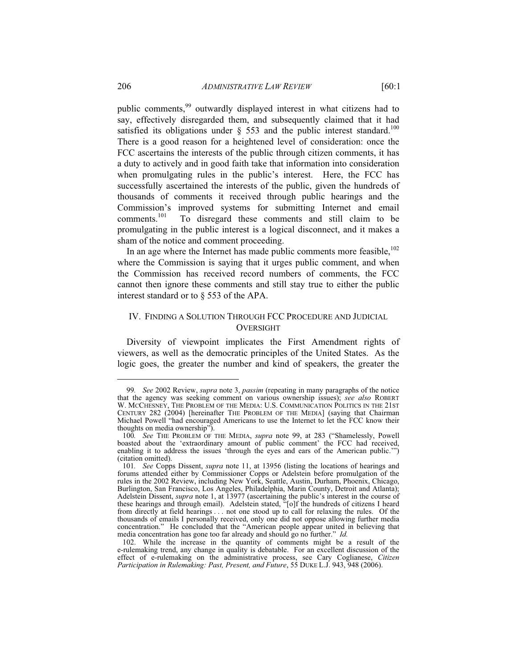public comments,<sup>99</sup> outwardly displayed interest in what citizens had to say, effectively disregarded them, and subsequently claimed that it had satisfied its obligations under  $\S$  553 and the public interest standard.<sup>100</sup> There is a good reason for a heightened level of consideration: once the FCC ascertains the interests of the public through citizen comments, it has a duty to actively and in good faith take that information into consideration when promulgating rules in the public's interest. Here, the FCC has successfully ascertained the interests of the public, given the hundreds of thousands of comments it received through public hearings and the Commission's improved systems for submitting Internet and email comments.<sup>101</sup> To disregard these comments and still claim to be To disregard these comments and still claim to be promulgating in the public interest is a logical disconnect, and it makes a sham of the notice and comment proceeding.

In an age where the Internet has made public comments more feasible.<sup>102</sup> where the Commission is saying that it urges public comment, and when the Commission has received record numbers of comments, the FCC cannot then ignore these comments and still stay true to either the public interest standard or to § 553 of the APA.

# IV. FINDING A SOLUTION THROUGH FCC PROCEDURE AND JUDICIAL OVERSIGHT

Diversity of viewpoint implicates the First Amendment rights of viewers, as well as the democratic principles of the United States. As the logic goes, the greater the number and kind of speakers, the greater the

<sup>99</sup>*. See* 2002 Review, *supra* note 3, *passim* (repeating in many paragraphs of the notice that the agency was seeking comment on various ownership issues); *see also* ROBERT W. MCCHESNEY, THE PROBLEM OF THE MEDIA: U.S. COMMUNICATION POLITICS IN THE 21ST CENTURY 282 (2004) [hereinafter THE PROBLEM OF THE MEDIA] (saying that Chairman Michael Powell "had encouraged Americans to use the Internet to let the FCC know their thoughts on media ownership").

<sup>100</sup>*. See* THE PROBLEM OF THE MEDIA, *supra* note 99, at 283 ("Shamelessly, Powell boasted about the 'extraordinary amount of public comment' the FCC had received, enabling it to address the issues 'through the eyes and ears of the American public.") (citation omitted).

<sup>101</sup>*. See* Copps Dissent, *supra* note 11, at 13956 (listing the locations of hearings and forums attended either by Commissioner Copps or Adelstein before promulgation of the rules in the 2002 Review, including New York, Seattle, Austin, Durham, Phoenix, Chicago, Burlington, San Francisco, Los Angeles, Philadelphia, Marin County, Detroit and Atlanta); Adelstein Dissent, *supra* note 1, at 13977 (ascertaining the public's interest in the course of these hearings and through email). Adelstein stated, "[o]f the hundreds of citizens I heard from directly at field hearings . . . not one stood up to call for relaxing the rules. Of the thousands of emails I personally received, only one did not oppose allowing further media concentration." He concluded that the "American people appear united in believing that media concentration has gone too far already and should go no further." *Id.*

 <sup>102.</sup> While the increase in the quantity of comments might be a result of the e-rulemaking trend, any change in quality is debatable. For an excellent discussion of the effect of e-rulemaking on the administrative process, see Cary Coglianese, *Citizen Participation in Rulemaking: Past, Present, and Future*, 55 DUKE L.J. 943, 948 (2006).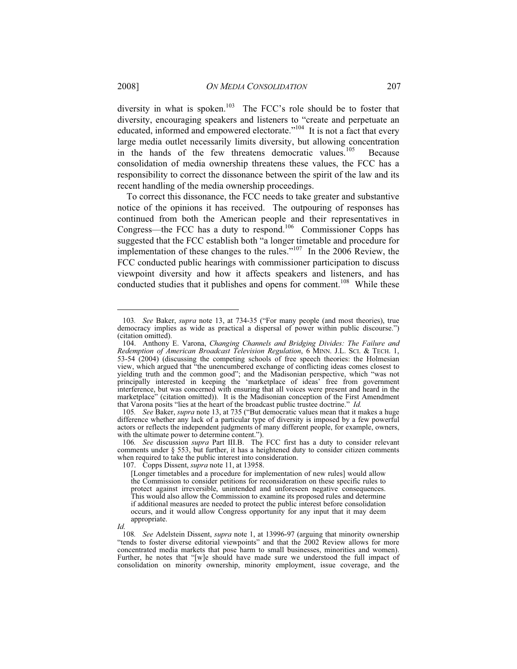diversity in what is spoken.<sup>103</sup> The FCC's role should be to foster that diversity, encouraging speakers and listeners to "create and perpetuate an educated, informed and empowered electorate."104 It is not a fact that every large media outlet necessarily limits diversity, but allowing concentration in the hands of the few threatens democratic values. $105$  Because consolidation of media ownership threatens these values, the FCC has a responsibility to correct the dissonance between the spirit of the law and its recent handling of the media ownership proceedings.

To correct this dissonance, the FCC needs to take greater and substantive notice of the opinions it has received. The outpouring of responses has continued from both the American people and their representatives in Congress—the FCC has a duty to respond.106 Commissioner Copps has suggested that the FCC establish both "a longer timetable and procedure for implementation of these changes to the rules."<sup>107</sup> In the  $2006$  Review, the FCC conducted public hearings with commissioner participation to discuss viewpoint diversity and how it affects speakers and listeners, and has conducted studies that it publishes and opens for comment.<sup>108</sup> While these

<sup>103</sup>*. See* Baker, *supra* note 13, at 734-35 ("For many people (and most theories), true democracy implies as wide as practical a dispersal of power within public discourse.") (citation omitted).

 <sup>104.</sup> Anthony E. Varona, *Changing Channels and Bridging Divides: The Failure and Redemption of American Broadcast Television Regulation*, 6 MINN. J.L. SCI. & TECH. 1, 53-54 (2004) (discussing the competing schools of free speech theories: the Holmesian view, which argued that "the unencumbered exchange of conflicting ideas comes closest to yielding truth and the common good"; and the Madisonian perspective, which "was not principally interested in keeping the 'marketplace of ideas' free from government interference, but was concerned with ensuring that all voices were present and heard in the marketplace" (citation omitted)). It is the Madisonian conception of the First Amendment that Varona posits "lies at the heart of the broadcast public trustee doctrine." *Id.* 

<sup>105</sup>*. See* Baker, *supra* note 13, at 735 ("But democratic values mean that it makes a huge difference whether any lack of a particular type of diversity is imposed by a few powerful actors or reflects the independent judgments of many different people, for example, owners, with the ultimate power to determine content.").

<sup>106</sup>*. See* discussion *supra* Part III.B. The FCC first has a duty to consider relevant comments under § 553, but further, it has a heightened duty to consider citizen comments when required to take the public interest into consideration.

 <sup>107.</sup> Copps Dissent, *supra* note 11, at 13958.

<sup>[</sup>Longer timetables and a procedure for implementation of new rules] would allow the Commission to consider petitions for reconsideration on these specific rules to protect against irreversible, unintended and unforeseen negative consequences. This would also allow the Commission to examine its proposed rules and determine if additional measures are needed to protect the public interest before consolidation occurs, and it would allow Congress opportunity for any input that it may deem appropriate.

*Id.*

<sup>108</sup>*. See* Adelstein Dissent, *supra* note 1, at 13996-97 (arguing that minority ownership "tends to foster diverse editorial viewpoints" and that the 2002 Review allows for more concentrated media markets that pose harm to small businesses, minorities and women). Further, he notes that "[w]e should have made sure we understood the full impact of consolidation on minority ownership, minority employment, issue coverage, and the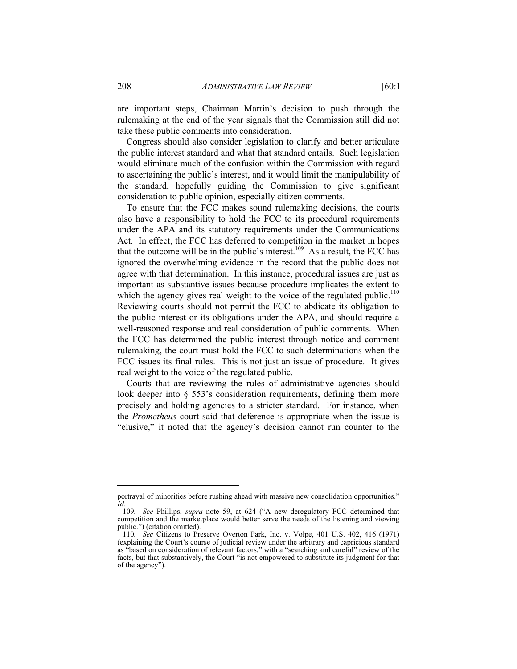are important steps, Chairman Martin's decision to push through the rulemaking at the end of the year signals that the Commission still did not take these public comments into consideration.

Congress should also consider legislation to clarify and better articulate the public interest standard and what that standard entails. Such legislation would eliminate much of the confusion within the Commission with regard to ascertaining the public's interest, and it would limit the manipulability of the standard, hopefully guiding the Commission to give significant consideration to public opinion, especially citizen comments.

To ensure that the FCC makes sound rulemaking decisions, the courts also have a responsibility to hold the FCC to its procedural requirements under the APA and its statutory requirements under the Communications Act. In effect, the FCC has deferred to competition in the market in hopes that the outcome will be in the public's interest.<sup>109</sup> As a result, the FCC has ignored the overwhelming evidence in the record that the public does not agree with that determination. In this instance, procedural issues are just as important as substantive issues because procedure implicates the extent to which the agency gives real weight to the voice of the regulated public.<sup>110</sup> Reviewing courts should not permit the FCC to abdicate its obligation to the public interest or its obligations under the APA, and should require a well-reasoned response and real consideration of public comments. When the FCC has determined the public interest through notice and comment rulemaking, the court must hold the FCC to such determinations when the FCC issues its final rules. This is not just an issue of procedure. It gives real weight to the voice of the regulated public.

Courts that are reviewing the rules of administrative agencies should look deeper into § 553's consideration requirements, defining them more precisely and holding agencies to a stricter standard. For instance, when the *Prometheus* court said that deference is appropriate when the issue is "elusive," it noted that the agency's decision cannot run counter to the

portrayal of minorities before rushing ahead with massive new consolidation opportunities." *Id.*

<sup>109</sup>*. See* Phillips, *supra* note 59, at 624 ("A new deregulatory FCC determined that competition and the marketplace would better serve the needs of the listening and viewing public.") (citation omitted).

<sup>110</sup>*. See* Citizens to Preserve Overton Park, Inc. v. Volpe, 401 U.S. 402, 416 (1971) (explaining the Court's course of judicial review under the arbitrary and capricious standard as "based on consideration of relevant factors," with a "searching and careful" review of the facts, but that substantively, the Court "is not empowered to substitute its judgment for that of the agency").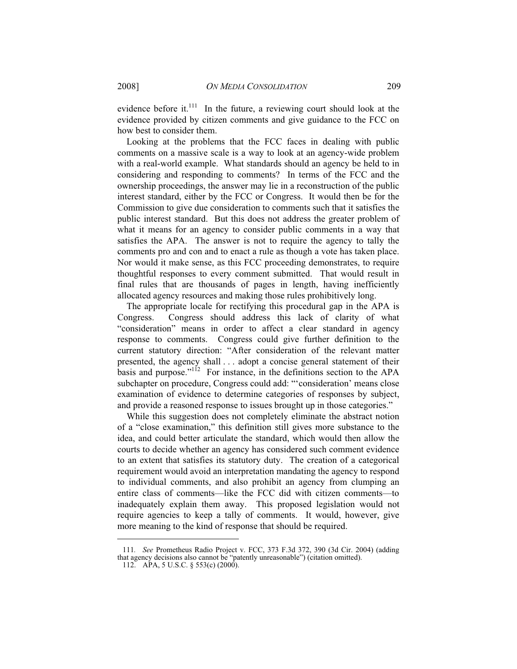evidence before it.<sup>111</sup> In the future, a reviewing court should look at the evidence provided by citizen comments and give guidance to the FCC on how best to consider them.

Looking at the problems that the FCC faces in dealing with public comments on a massive scale is a way to look at an agency-wide problem with a real-world example. What standards should an agency be held to in considering and responding to comments? In terms of the FCC and the ownership proceedings, the answer may lie in a reconstruction of the public interest standard, either by the FCC or Congress. It would then be for the Commission to give due consideration to comments such that it satisfies the public interest standard. But this does not address the greater problem of what it means for an agency to consider public comments in a way that satisfies the APA. The answer is not to require the agency to tally the comments pro and con and to enact a rule as though a vote has taken place. Nor would it make sense, as this FCC proceeding demonstrates, to require thoughtful responses to every comment submitted. That would result in final rules that are thousands of pages in length, having inefficiently allocated agency resources and making those rules prohibitively long.

The appropriate locale for rectifying this procedural gap in the APA is Congress. Congress should address this lack of clarity of what "consideration" means in order to affect a clear standard in agency response to comments. Congress could give further definition to the current statutory direction: "After consideration of the relevant matter presented, the agency shall . . . adopt a concise general statement of their basis and purpose."<sup>112</sup> For instance, in the definitions section to the APA subchapter on procedure, Congress could add: "'consideration' means close examination of evidence to determine categories of responses by subject, and provide a reasoned response to issues brought up in those categories."

While this suggestion does not completely eliminate the abstract notion of a "close examination," this definition still gives more substance to the idea, and could better articulate the standard, which would then allow the courts to decide whether an agency has considered such comment evidence to an extent that satisfies its statutory duty. The creation of a categorical requirement would avoid an interpretation mandating the agency to respond to individual comments, and also prohibit an agency from clumping an entire class of comments—like the FCC did with citizen comments—to inadequately explain them away. This proposed legislation would not require agencies to keep a tally of comments. It would, however, give more meaning to the kind of response that should be required.

<sup>111</sup>*. See* Prometheus Radio Project v. FCC, 373 F.3d 372, 390 (3d Cir. 2004) (adding that agency decisions also cannot be "patently unreasonable") (citation omitted).

 <sup>112.</sup> APA, 5 U.S.C. § 553(c) (2000).